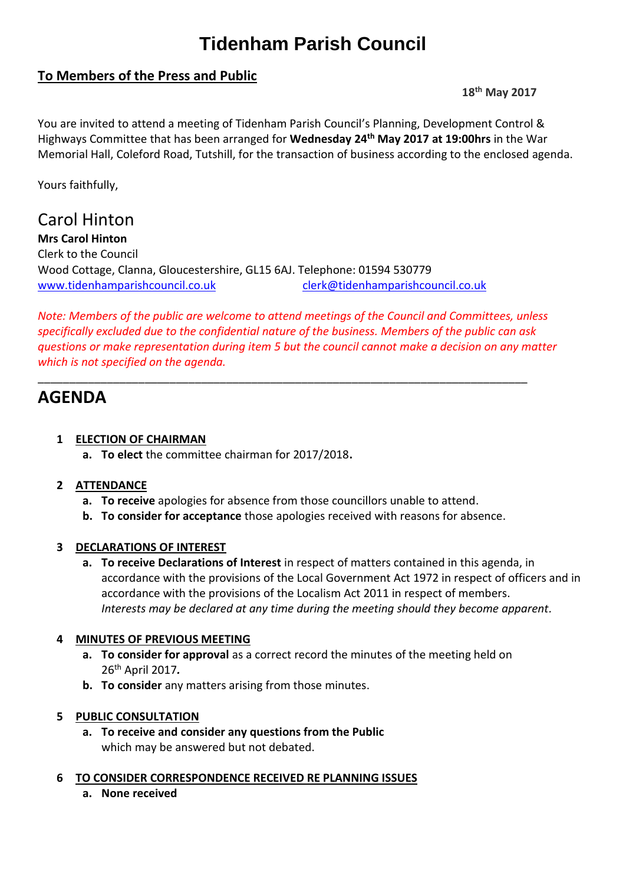# **Tidenham Parish Council**

# **To Members of the Press and Public**

**18th May 2017**

You are invited to attend a meeting of Tidenham Parish Council's Planning, Development Control & Highways Committee that has been arranged for **Wednesday 24 th May 2017 at 19:00hrs** in the War Memorial Hall, Coleford Road, Tutshill, for the transaction of business according to the enclosed agenda.

Yours faithfully,

Carol Hinton **Mrs Carol Hinton** Clerk to the Council Wood Cottage, Clanna, Gloucestershire, GL15 6AJ. Telephone: 01594 530779 [www.tidenhamparishcouncil.co.uk](http://www.tidenhamparishcouncil.co.uk/) [clerk@tidenhamparishcouncil.co.uk](mailto:clerk@tidenhamparishcouncil.co.uk)

*Note: Members of the public are welcome to attend meetings of the Council and Committees, unless specifically excluded due to the confidential nature of the business. Members of the public can ask questions or make representation during item 5 but the council cannot make a decision on any matter which is not specified on the agenda.*

\_\_\_\_\_\_\_\_\_\_\_\_\_\_\_\_\_\_\_\_\_\_\_\_\_\_\_\_\_\_\_\_\_\_\_\_\_\_\_\_\_\_\_\_\_\_\_\_\_\_\_\_\_\_\_\_\_\_\_\_\_\_\_\_\_\_\_\_\_\_\_\_\_\_\_\_\_\_

# **AGENDA**

# **1 ELECTION OF CHAIRMAN**

**a. To elect** the committee chairman for 2017/2018**.**

### **2 ATTENDANCE**

- **a. To receive** apologies for absence from those councillors unable to attend.
- **b. To consider for acceptance** those apologies received with reasons for absence.

### **3 DECLARATIONS OF INTEREST**

**a. To receive Declarations of Interest** in respect of matters contained in this agenda, in accordance with the provisions of the Local Government Act 1972 in respect of officers and in accordance with the provisions of the Localism Act 2011 in respect of members. *Interests may be declared at any time during the meeting should they become apparent.*

### **4 MINUTES OF PREVIOUS MEETING**

- **a. To consider for approval** as a correct record the minutes of the meeting held on 26 th April 2017*.*
- **b. To consider** any matters arising from those minutes.

### **5 PUBLIC CONSULTATION**

- **a. To receive and consider any questions from the Public** which may be answered but not debated.
- **6 TO CONSIDER CORRESPONDENCE RECEIVED RE PLANNING ISSUES**
	- **a. None received**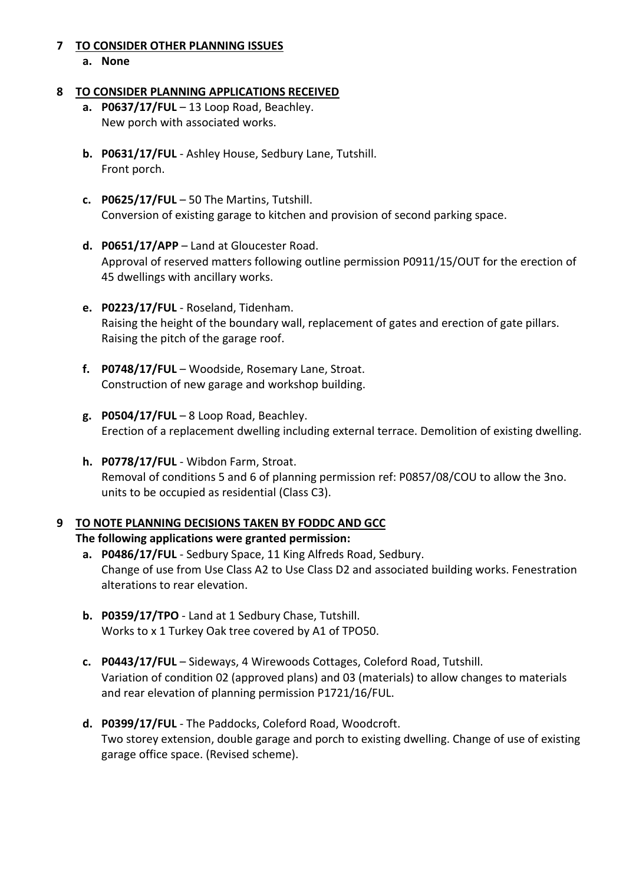#### **7 TO CONSIDER OTHER PLANNING ISSUES**

**a. None**

#### **8 TO CONSIDER PLANNING APPLICATIONS RECEIVED**

- **a. P0637/17/FUL** 13 Loop Road, Beachley. New porch with associated works.
- **b. P0631/17/FUL** Ashley House, Sedbury Lane, Tutshill. Front porch.
- **c. P0625/17/FUL** 50 The Martins, Tutshill. Conversion of existing garage to kitchen and provision of second parking space.
- **d. P0651/17/APP**  Land at Gloucester Road. Approval of reserved matters following outline permission P0911/15/OUT for the erection of 45 dwellings with ancillary works.
- **e. P0223/17/FUL** Roseland, Tidenham. Raising the height of the boundary wall, replacement of gates and erection of gate pillars. Raising the pitch of the garage roof.
- **f. P0748/17/FUL** Woodside, Rosemary Lane, Stroat. Construction of new garage and workshop building.
- **g. P0504/17/FUL** 8 Loop Road, Beachley. [Erection of a replacement dwelling including external terrace. Demolition of existing dwelling.](https://publicaccess.fdean.gov.uk/online-applications/applicationDetails.do?activeTab=summary&keyVal=ONIK7OHIM1Y00&prevPage=inTray)
- **h. P0778/17/FUL** Wibdon Farm, Stroat. Removal of conditions 5 and 6 of planning permission ref: P0857/08/COU to allow the 3no. units to be occupied as residential (Class C3).

# **9 TO NOTE PLANNING DECISIONS TAKEN BY FODDC AND GCC**

### **The following applications were granted permission:**

- **a. P0486/17/FUL** Sedbury Space, 11 King Alfreds Road, Sedbury. Change of use from Use Class A2 to Use Class D2 and associated building works. Fenestration alterations to rear elevation.
- **b. P0359/17/TPO** Land at 1 Sedbury Chase, Tutshill. Works to x 1 Turkey Oak tree covered by A1 of TPO50.
- **c. P0443/17/FUL**  Sideways, 4 Wirewoods Cottages, Coleford Road, Tutshill. Variation of condition 02 (approved plans) and 03 (materials) to allow changes to materials and rear elevation of planning permission P1721/16/FUL.
- **d. P0399/17/FUL**  The Paddocks, Coleford Road, Woodcroft. Two storey extension, double garage and porch to existing dwelling. Change of use of existing garage office space. (Revised scheme).